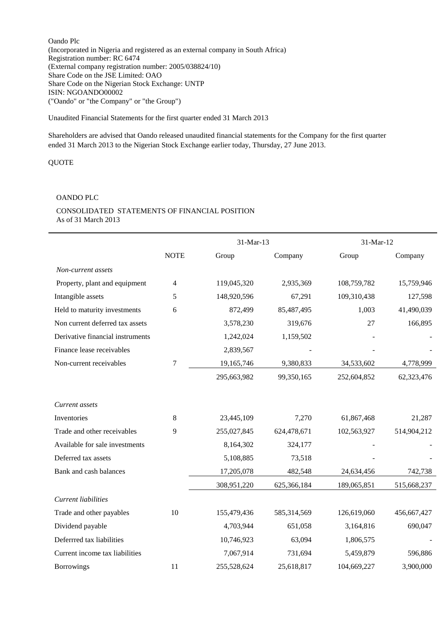Oando Plc (Incorporated in Nigeria and registered as an external company in South Africa) Registration number: RC 6474 (External company registration number: 2005/038824/10) Share Code on the JSE Limited: OAO Share Code on the Nigerian Stock Exchange: UNTP ISIN: NGOANDO00002 ("Oando" or "the Company" or "the Group")

Unaudited Financial Statements for the first quarter ended 31 March 2013

Shareholders are advised that Oando released unaudited financial statements for the Company for the first quarter ended 31 March 2013 to the Nigerian Stock Exchange earlier today, Thursday, 27 June 2013.

QUOTE

#### OANDO PLC

#### CONSOLIDATED STATEMENTS OF FINANCIAL POSITION As of 31 March 2013

|                                  | 31-Mar-13   |             | 31-Mar-12   |             |             |
|----------------------------------|-------------|-------------|-------------|-------------|-------------|
|                                  | <b>NOTE</b> | Group       | Company     | Group       | Company     |
| Non-current assets               |             |             |             |             |             |
| Property, plant and equipment    | 4           | 119,045,320 | 2,935,369   | 108,759,782 | 15,759,946  |
| Intangible assets                | 5           | 148,920,596 | 67,291      | 109,310,438 | 127,598     |
| Held to maturity investments     | 6           | 872,499     | 85,487,495  | 1,003       | 41,490,039  |
| Non current deferred tax assets  |             | 3,578,230   | 319,676     | 27          | 166,895     |
| Derivative financial instruments |             | 1,242,024   | 1,159,502   |             |             |
| Finance lease receivables        |             | 2,839,567   |             |             |             |
| Non-current receivables          | $\tau$      | 19,165,746  | 9,380,833   | 34,533,602  | 4,778,999   |
|                                  |             | 295,663,982 | 99,350,165  | 252,604,852 | 62,323,476  |
|                                  |             |             |             |             |             |
| Current assets                   |             |             |             |             |             |
| Inventories                      | 8           | 23,445,109  | 7,270       | 61,867,468  | 21,287      |
| Trade and other receivables      | 9           | 255,027,845 | 624,478,671 | 102,563,927 | 514,904,212 |
| Available for sale investments   |             | 8,164,302   | 324,177     |             |             |
| Deferred tax assets              |             | 5,108,885   | 73,518      |             |             |
| Bank and cash balances           |             | 17,205,078  | 482,548     | 24,634,456  | 742,738     |
|                                  |             | 308,951,220 | 625,366,184 | 189,065,851 | 515,668,237 |
| Current liabilities              |             |             |             |             |             |
| Trade and other payables         | 10          | 155,479,436 | 585,314,569 | 126,619,060 | 456,667,427 |
| Dividend payable                 |             | 4,703,944   | 651,058     | 3,164,816   | 690,047     |
| Deferrred tax liabilities        |             | 10,746,923  | 63,094      | 1,806,575   |             |
| Current income tax liabilities   |             | 7,067,914   | 731,694     | 5,459,879   | 596,886     |
| <b>Borrowings</b>                | 11          | 255,528,624 | 25,618,817  | 104,669,227 | 3,900,000   |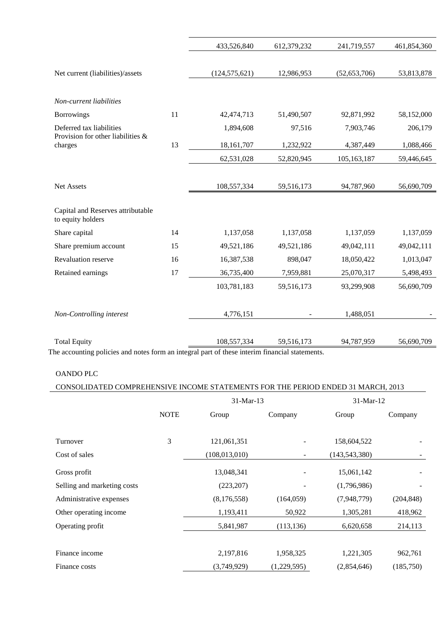|    | 433,526,840     | 612,379,232 | 241,719,557    | 461,854,360 |
|----|-----------------|-------------|----------------|-------------|
|    |                 |             |                |             |
|    | (124, 575, 621) | 12,986,953  | (52, 653, 706) | 53,813,878  |
|    |                 |             |                |             |
|    |                 |             |                |             |
| 11 | 42, 474, 713    | 51,490,507  | 92,871,992     | 58,152,000  |
|    | 1,894,608       | 97,516      | 7,903,746      | 206,179     |
| 13 | 18, 161, 707    | 1,232,922   | 4,387,449      | 1,088,466   |
|    | 62,531,028      | 52,820,945  | 105,163,187    | 59,446,645  |
|    |                 |             |                |             |
|    | 108,557,334     | 59,516,173  | 94,787,960     | 56,690,709  |
|    |                 |             |                |             |
| 14 | 1,137,058       | 1,137,058   | 1,137,059      | 1,137,059   |
| 15 | 49,521,186      | 49,521,186  | 49,042,111     | 49,042,111  |
| 16 | 16,387,538      | 898,047     | 18,050,422     | 1,013,047   |
| 17 | 36,735,400      | 7,959,881   | 25,070,317     | 5,498,493   |
|    | 103,781,183     | 59,516,173  | 93,299,908     | 56,690,709  |
|    | 4,776,151       |             | 1,488,051      |             |
|    |                 |             |                | 56,690,709  |
|    |                 | 108,557,334 | 59,516,173     | 94,787,959  |

The accounting policies and notes form an integral part of these interim financial statements.

# OANDO PLC

 $\overline{\phantom{a}}$ 

|  |  |  |  |  | CONSOLIDATED COMPREHENSIVE INCOME STATEMENTS FOR THE PERIOD ENDED 31 MARCH, 2013 |
|--|--|--|--|--|----------------------------------------------------------------------------------|
|--|--|--|--|--|----------------------------------------------------------------------------------|

|                             | 31-Mar-13   |                 |             | 31-Mar-12       |            |  |
|-----------------------------|-------------|-----------------|-------------|-----------------|------------|--|
|                             | <b>NOTE</b> | Group           | Company     | Group           | Company    |  |
|                             |             |                 |             |                 |            |  |
| Turnover                    | 3           | 121,061,351     |             | 158,604,522     |            |  |
| Cost of sales               |             | (108, 013, 010) |             | (143, 543, 380) |            |  |
| Gross profit                |             | 13,048,341      |             | 15,061,142      |            |  |
| Selling and marketing costs |             | (223, 207)      |             | (1,796,986)     |            |  |
| Administrative expenses     |             | (8,176,558)     | (164, 059)  | (7,948,779)     | (204, 848) |  |
| Other operating income      |             | 1,193,411       | 50,922      | 1,305,281       | 418,962    |  |
| Operating profit            |             | 5,841,987       | (113, 136)  | 6,620,658       | 214,113    |  |
|                             |             |                 |             |                 |            |  |
| Finance income              |             | 2,197,816       | 1,958,325   | 1,221,305       | 962,761    |  |
| Finance costs               |             | (3,749,929)     | (1,229,595) | (2,854,646)     | (185,750)  |  |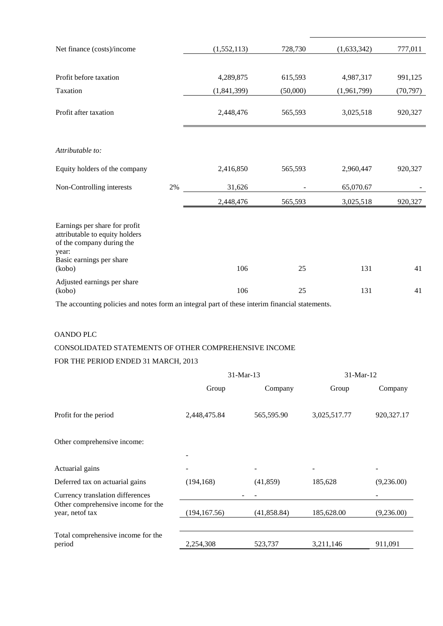| Net finance (costs)/income                                                                                                                  |    | (1, 552, 113) | 728,730  | (1,633,342) | 777,011   |
|---------------------------------------------------------------------------------------------------------------------------------------------|----|---------------|----------|-------------|-----------|
|                                                                                                                                             |    |               |          |             |           |
| Profit before taxation                                                                                                                      |    | 4,289,875     | 615,593  | 4,987,317   | 991,125   |
| Taxation                                                                                                                                    |    | (1,841,399)   | (50,000) | (1,961,799) | (70, 797) |
| Profit after taxation                                                                                                                       |    | 2,448,476     | 565,593  | 3,025,518   | 920,327   |
|                                                                                                                                             |    |               |          |             |           |
| Attributable to:                                                                                                                            |    |               |          |             |           |
| Equity holders of the company                                                                                                               |    | 2,416,850     | 565,593  | 2,960,447   | 920,327   |
| Non-Controlling interests                                                                                                                   | 2% | 31,626        |          | 65,070.67   |           |
|                                                                                                                                             |    | 2,448,476     | 565,593  | 3,025,518   | 920,327   |
| Earnings per share for profit<br>attributable to equity holders<br>of the company during the<br>year:<br>Basic earnings per share<br>(kobo) |    | 106           | 25       | 131         | 41        |
| Adjusted earnings per share<br>(kobo)                                                                                                       |    | 106           | 25       | 131         | 41        |

The accounting policies and notes form an integral part of these interim financial statements.

# OANDO PLC

## CONSOLIDATED STATEMENTS OF OTHER COMPREHENSIVE INCOME

### FOR THE PERIOD ENDED 31 MARCH, 2013

|                                                        | 31-Mar-13     |              | 31-Mar-12    |              |
|--------------------------------------------------------|---------------|--------------|--------------|--------------|
|                                                        | Group         | Company      | Group        | Company      |
| Profit for the period                                  | 2,448,475.84  | 565,595.90   | 3,025,517.77 | 920, 327. 17 |
| Other comprehensive income:                            |               |              |              |              |
|                                                        |               |              |              |              |
| Actuarial gains                                        |               |              |              |              |
| Deferred tax on actuarial gains                        | (194, 168)    | (41, 859)    | 185,628      | (9,236.00)   |
| Currency translation differences                       |               |              |              |              |
| Other comprehensive income for the<br>year, net of tax | (194, 167.56) | (41, 858.84) | 185,628.00   | (9,236.00)   |
|                                                        |               |              |              |              |
| Total comprehensive income for the<br>period           | 2,254,308     | 523,737      | 3,211,146    | 911,091      |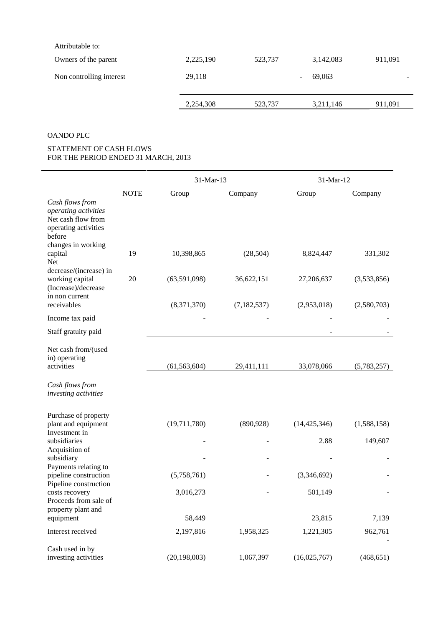| Owners of the parent     | 2,225,190 | 523,737 | 3,142,083 | 911,091 |
|--------------------------|-----------|---------|-----------|---------|
| Non controlling interest | 29,118    |         | 69.063    |         |
|                          | 2,254,308 | 523,737 | 3,211,146 | 911,091 |

## OANDO PLC

#### STATEMENT OF CASH FLOWS FOR THE PERIOD ENDED 31 MARCH, 2013

|                                                                                                 |             | 31-Mar-13      |               | 31-Mar-12      |             |  |
|-------------------------------------------------------------------------------------------------|-------------|----------------|---------------|----------------|-------------|--|
|                                                                                                 | <b>NOTE</b> | Group          | Company       | Group          | Company     |  |
| Cash flows from<br>operating activities<br>Net cash flow from<br>operating activities<br>before |             |                |               |                |             |  |
| changes in working<br>capital<br>Net<br>decrease/(increase) in                                  | 19          | 10,398,865     | (28, 504)     | 8,824,447      | 331,302     |  |
| working capital<br>(Increase)/decrease<br>in non current                                        | 20          | (63,591,098)   | 36,622,151    | 27,206,637     | (3,533,856) |  |
| receivables                                                                                     |             | (8,371,370)    | (7, 182, 537) | (2,953,018)    | (2,580,703) |  |
| Income tax paid                                                                                 |             |                |               |                |             |  |
| Staff gratuity paid                                                                             |             |                |               |                |             |  |
| Net cash from/(used<br>in) operating                                                            |             |                |               |                |             |  |
| activities                                                                                      |             | (61, 563, 604) | 29,411,111    | 33,078,066     | (5,783,257) |  |
| Cash flows from<br>investing activities                                                         |             |                |               |                |             |  |
| Purchase of property<br>plant and equipment<br>Investment in                                    |             | (19,711,780)   | (890, 928)    | (14, 425, 346) | (1,588,158) |  |
| subsidiaries                                                                                    |             |                |               | 2.88           | 149,607     |  |
| Acquisition of<br>subsidiary<br>Payments relating to                                            |             |                |               |                |             |  |
| pipeline construction<br>Pipeline construction                                                  |             | (5,758,761)    |               | (3,346,692)    |             |  |
| costs recovery<br>Proceeds from sale of                                                         |             | 3,016,273      |               | 501,149        |             |  |
| property plant and<br>equipment                                                                 |             | 58,449         |               | 23,815         | 7,139       |  |
| Interest received                                                                               |             | 2,197,816      | 1,958,325     | 1,221,305      | 962,761     |  |
| Cash used in by<br>investing activities                                                         |             | (20, 198, 003) | 1,067,397     | (16,025,767)   | (468, 651)  |  |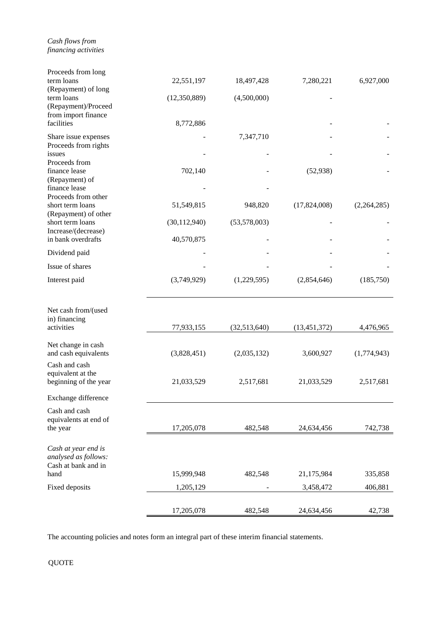*Cash flows from financing activities*

| Proceeds from long<br>term loans                                   | 22,551,197     | 18,497,428   | 7,280,221      | 6,927,000   |
|--------------------------------------------------------------------|----------------|--------------|----------------|-------------|
| (Repayment) of long<br>term loans<br>(Repayment)/Proceed           | (12,350,889)   | (4,500,000)  |                |             |
| from import finance<br>facilities                                  | 8,772,886      |              |                |             |
| Share issue expenses<br>Proceeds from rights                       |                | 7,347,710    |                |             |
| issues<br>Proceeds from                                            |                |              |                |             |
| finance lease<br>(Repayment) of<br>finance lease                   | 702,140        |              | (52, 938)      |             |
| Proceeds from other<br>short term loans                            | 51,549,815     | 948,820      | (17,824,008)   | (2,264,285) |
| (Repayment) of other<br>short term loans                           | (30, 112, 940) | (53,578,003) |                |             |
| Increase/(decrease)<br>in bank overdrafts                          | 40,570,875     |              |                |             |
| Dividend paid                                                      |                |              |                |             |
| Issue of shares                                                    |                |              |                |             |
| Interest paid                                                      | (3,749,929)    | (1,229,595)  | (2,854,646)    | (185,750)   |
| Net cash from/(used                                                |                |              |                |             |
| in) financing<br>activities                                        | 77,933,155     | (32,513,640) | (13, 451, 372) | 4,476,965   |
| Net change in cash<br>and cash equivalents                         | (3,828,451)    | (2,035,132)  | 3,600,927      | (1,774,943) |
| Cash and cash<br>equivalent at the                                 |                |              |                |             |
| beginning of the year                                              | 21,033,529     | 2,517,681    | 21,033,529     | 2,517,681   |
| Exchange difference                                                |                |              |                |             |
| Cash and cash<br>equivalents at end of<br>the year                 | 17,205,078     | 482,548      | 24,634,456     | 742,738     |
|                                                                    |                |              |                |             |
| Cash at year end is<br>analysed as follows:<br>Cash at bank and in |                |              |                |             |
| hand                                                               | 15,999,948     | 482,548      | 21,175,984     | 335,858     |
| Fixed deposits                                                     | 1,205,129      |              | 3,458,472      | 406,881     |
|                                                                    | 17,205,078     | 482,548      | 24,634,456     | 42,738      |

The accounting policies and notes form an integral part of these interim financial statements.

QUOTE